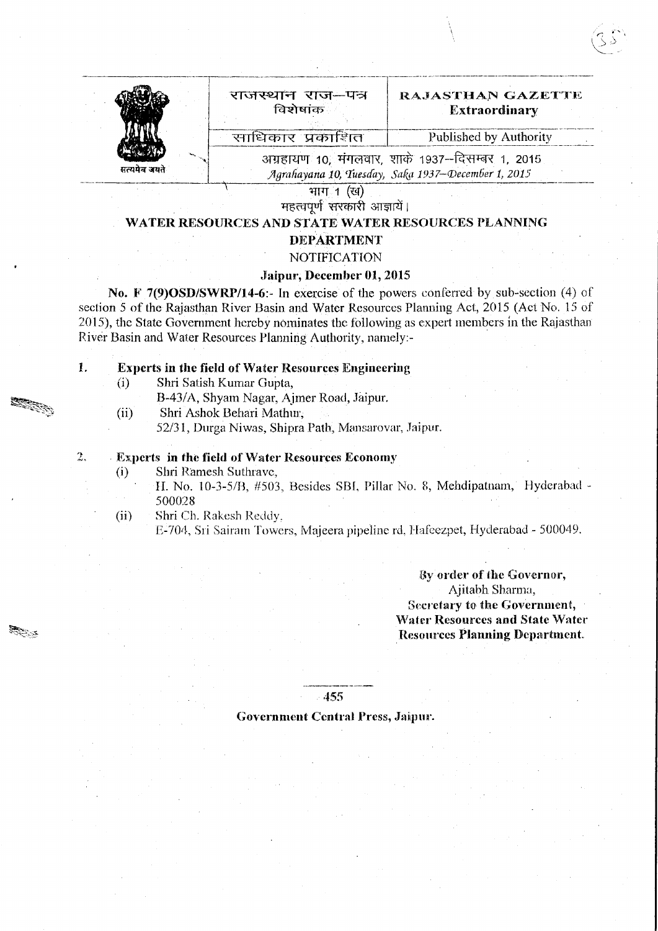|               | राजस्थान राज–पत्र<br>विशेषांक                                                                          | RAJASTHAN GAZETTE<br><b>Extraordinary</b> |
|---------------|--------------------------------------------------------------------------------------------------------|-------------------------------------------|
|               | साधिकार प्रकाशित                                                                                       | Published by Authority                    |
| सत्यमेव जयते. | अग्रहायण 10, मंगलवार, शाके 1937--दिसम्बर 1, 2015<br>Agrahayana 10, Tuesday, Saka 1937-December 1, 2015 |                                           |

भाग 1 (ख) महत्त्वपूर्ण सरकारी आज्ञायें।

#### WATER RESOURCES AND STATE WATER RESOURCES PLANNING

#### **DEPARTMENT**

NOTIFICATION

### Jaipur, December 01, 2015

No. F 7(9)OSD/SWRP/14-6:- In exercise of the powers conferred by sub-section (4) of section 5 of the Rajasthan River Basin and Water Resources Planning Act, 2015 (Act No. 15 of 2015), the State Government hereby nominates the following as expert members in the Rajasthan River Basin and Water Resources Planning Authority, namely:-

- 1. **Experts in the field of Water Resources Engineering** 
	- $(i)$ Shri Satish Kumar Gupta.
		- B-43/A, Shyam Nagar, Ajmer Road, Jaipur.
	- Shri Ashok Behari Mathur,  $(ii)$

52/31, Durga Niwas, Shipra Path, Mansarovar, Jaipur.

- $\overline{z}$ **Experts in the field of Water Resources Economy** 
	- Shri Ramesh Suthrave,  $(i)$ H. No. 10-3-5/B, #503, Besides SBI, Pillar No. 8, Mehdipatnam, Hyderabad -500028
	- $(ii)$ Shri Ch. Rakesh Reddy, E-704, Sri Sairam Towers, Majeera pipeline rd. Hafeezpet, Hyderabad - 500049.

By order of the Governor, Ajitabh Sharma, Secretary to the Government, **Water Resources and State Water Resources Planning Department.** 

455

**Government Central Press, Jaipur.**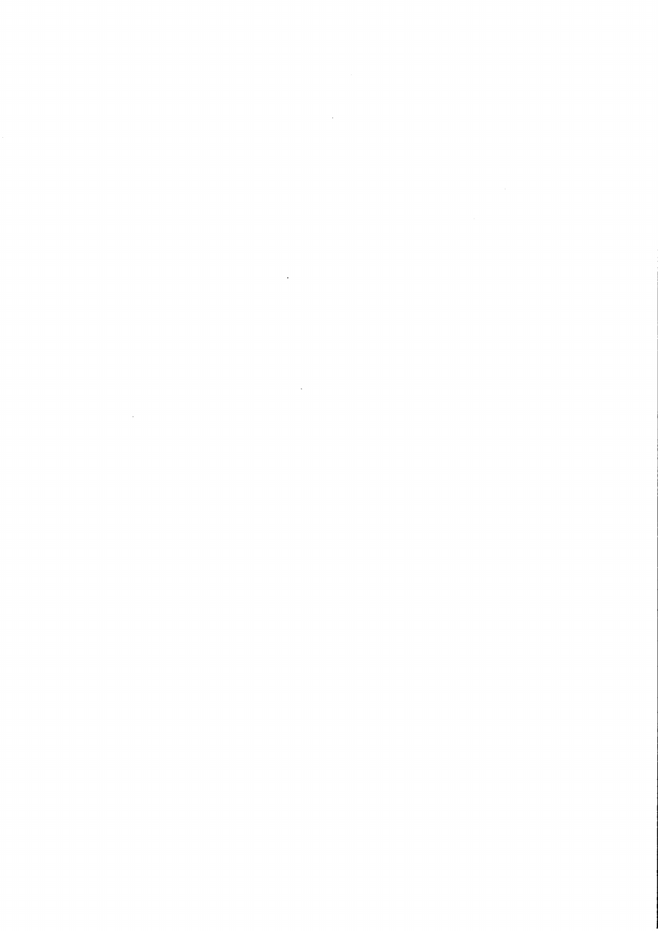$\label{eq:2.1} \mathcal{L}(\mathcal{L}^{\text{max}}_{\mathcal{L}}(\mathcal{L}^{\text{max}}_{\mathcal{L}}),\mathcal{L}^{\text{max}}_{\mathcal{L}^{\text{max}}_{\mathcal{L}}})$  $\label{eq:2.1} \frac{1}{\sqrt{2}}\left(\frac{1}{\sqrt{2}}\right)^{2} \left(\frac{1}{\sqrt{2}}\right)^{2} \left(\frac{1}{\sqrt{2}}\right)^{2} \left(\frac{1}{\sqrt{2}}\right)^{2} \left(\frac{1}{\sqrt{2}}\right)^{2} \left(\frac{1}{\sqrt{2}}\right)^{2} \left(\frac{1}{\sqrt{2}}\right)^{2} \left(\frac{1}{\sqrt{2}}\right)^{2} \left(\frac{1}{\sqrt{2}}\right)^{2} \left(\frac{1}{\sqrt{2}}\right)^{2} \left(\frac{1}{\sqrt{2}}\right)^{2} \left(\$ 

 $\label{eq:2.1} \frac{1}{\sqrt{2}}\int_{\mathbb{R}^3}\frac{1}{\sqrt{2}}\left(\frac{1}{\sqrt{2}}\right)^2\frac{1}{\sqrt{2}}\left(\frac{1}{\sqrt{2}}\right)^2\frac{1}{\sqrt{2}}\left(\frac{1}{\sqrt{2}}\right)^2\frac{1}{\sqrt{2}}\left(\frac{1}{\sqrt{2}}\right)^2.$  $\label{eq:2.1} \frac{1}{\sqrt{2}}\int_{\mathbb{R}^3}\frac{1}{\sqrt{2}}\left(\frac{1}{\sqrt{2}}\right)^2\frac{1}{\sqrt{2}}\left(\frac{1}{\sqrt{2}}\right)^2\frac{1}{\sqrt{2}}\left(\frac{1}{\sqrt{2}}\right)^2\frac{1}{\sqrt{2}}\left(\frac{1}{\sqrt{2}}\right)^2.$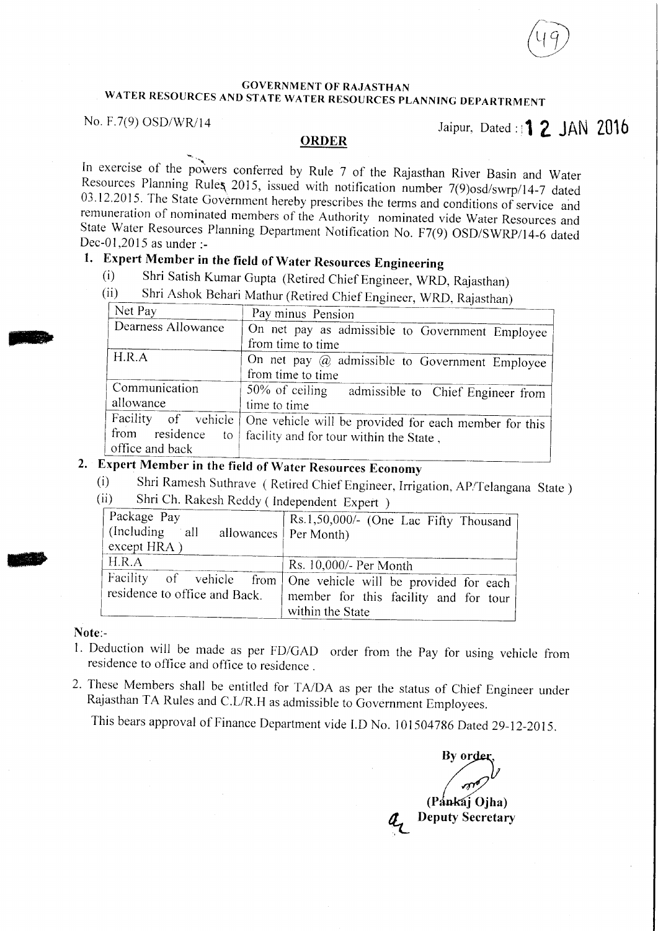## GOVERNMENT OF RAJASTHAN WATER RESOURCES AND STATE WATER RESOURCES PLANNING DEPARTRMENT

No. F.7(9) OSD/WR/14 Jaipur, Dated : **1 2** JAN 2016

 $(49)$ 

## ORDER

In exercise of the powers conferred by Rule 7 of the Rajasthan River Basin and Water<br>Resources Planning Rules 2015, issued with notification number 7(9)osd/swrp/14-7 dated<br>03.12.2015. The State Government hereby prescribes

# 1. Expert Member in the field of Water Resources Engineering<br>
(i) Shri Satish Kumar Gupta (Retired Chief Engineer, WRD<br>
(ii) Shri Ashok Behari Mathur (Retired Chief Engineer, WBI)

- Shri Satish Kumar Gupta (Retired Chief Engineer, WRD, Rajasthan)
- Shri Ashok Behari Mathur (Retired Chief Engineer, WRD, Rajasthan)

| Net Pay              | Pay minus Pension                                      |  |
|----------------------|--------------------------------------------------------|--|
| Dearness Allowance   | On net pay as admissible to Government Employee        |  |
|                      | from time to time                                      |  |
| H.R.A                | On net pay $(a)$ admissible to Government Employee     |  |
|                      | from time to time                                      |  |
| Communication        | $50\%$ of ceiling<br>admissible to Chief Engineer from |  |
| allowance            | time to time                                           |  |
| Facility of vehicle  | One vehicle will be provided for each member for this  |  |
| from residence<br>to | facility and for tour within the State,                |  |
| office and back      |                                                        |  |

## 2. Expert Member in the field of Water Resources Economy

- Shri Ramesh Suthrave (Retired Chief Engineer, Irrigation, AP/Telangana State) (i)
- Shri Ch. Rakesh Reddy (Independent Expert) ( ii)

| Package Pay<br>$\int$ (Including<br>all<br>except HRA) | Rs.1,50,000/- (One Lac Fifty Thousand  <br>allowances   Per Month)                                                          |
|--------------------------------------------------------|-----------------------------------------------------------------------------------------------------------------------------|
| H.R.A                                                  | Rs. 10,000/- Per Month                                                                                                      |
| residence to office and Back.                          | Facility of vehicle from One vehicle will be provided for each<br>member for this facility and for tour<br>within the State |

## Note:-

- 1. Deduction will be made as per FD/GAD order from the Pay for using vehicle from residence to office and office to residence.
- 2. These Members shall be entitled for TA/DA as per the status of Chief Engineer under Rajasthan TA Rules and C.L/R.H as admissible to Government Employees.

This bears approval of Finance Department vide I.D No. 101504786 Dated 29-12-2015.

**Ry** order  $(P_4^n, A_1^n)$ 

**Deputy Secretary**